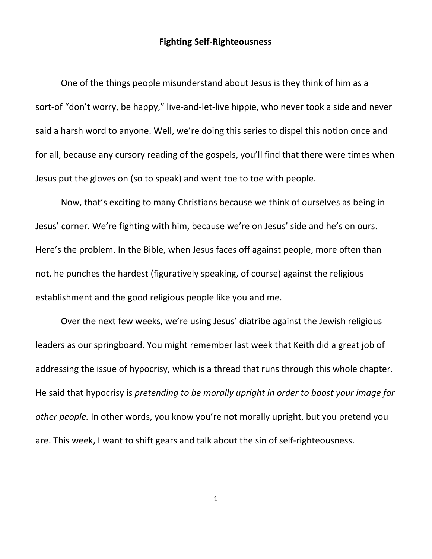## **Fighting Self-Righteousness**

One of the things people misunderstand about Jesus is they think of him as a sort-of "don't worry, be happy," live-and-let-live hippie, who never took a side and never said a harsh word to anyone. Well, we're doing this series to dispel this notion once and for all, because any cursory reading of the gospels, you'll find that there were times when Jesus put the gloves on (so to speak) and went toe to toe with people.

Now, that's exciting to many Christians because we think of ourselves as being in Jesus' corner. We're fighting with him, because we're on Jesus' side and he's on ours. Here's the problem. In the Bible, when Jesus faces off against people, more often than not, he punches the hardest (figuratively speaking, of course) against the religious establishment and the good religious people like you and me.

Over the next few weeks, we're using Jesus' diatribe against the Jewish religious leaders as our springboard. You might remember last week that Keith did a great job of addressing the issue of hypocrisy, which is a thread that runs through this whole chapter. He said that hypocrisy is *pretending to be morally upright in order to boost your image for other people.* In other words, you know you're not morally upright, but you pretend you are. This week, I want to shift gears and talk about the sin of self-righteousness.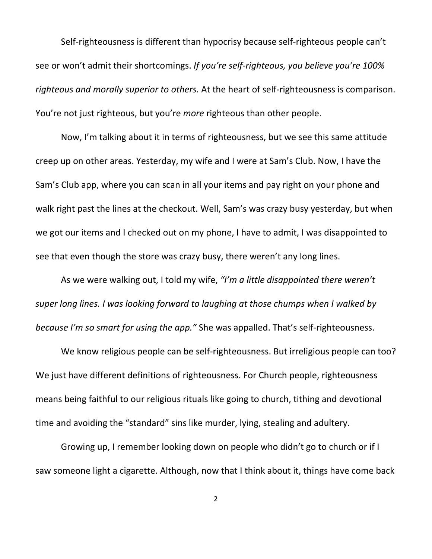Self-righteousness is different than hypocrisy because self-righteous people can't see or won't admit their shortcomings. *If you're self-righteous, you believe you're 100% righteous and morally superior to others.* At the heart of self-righteousness is comparison. You're not just righteous, but you're *more* righteous than other people.

Now, I'm talking about it in terms of righteousness, but we see this same attitude creep up on other areas. Yesterday, my wife and I were at Sam's Club. Now, I have the Sam's Club app, where you can scan in all your items and pay right on your phone and walk right past the lines at the checkout. Well, Sam's was crazy busy yesterday, but when we got our items and I checked out on my phone, I have to admit, I was disappointed to see that even though the store was crazy busy, there weren't any long lines.

As we were walking out, I told my wife, *"I'm a little disappointed there weren't super long lines. I was looking forward to laughing at those chumps when I walked by because I'm so smart for using the app."* She was appalled. That's self-righteousness.

We know religious people can be self-righteousness. But irreligious people can too? We just have different definitions of righteousness. For Church people, righteousness means being faithful to our religious rituals like going to church, tithing and devotional time and avoiding the "standard" sins like murder, lying, stealing and adultery.

Growing up, I remember looking down on people who didn't go to church or if I saw someone light a cigarette. Although, now that I think about it, things have come back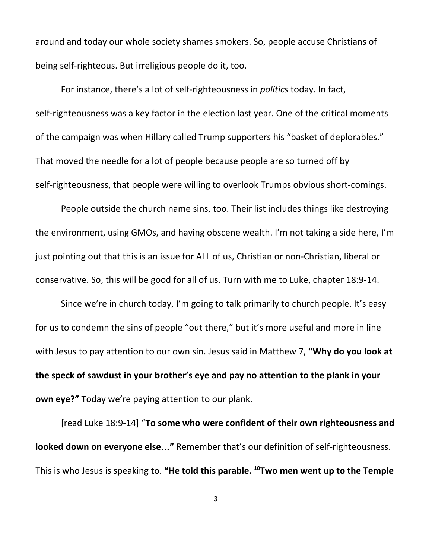around and today our whole society shames smokers. So, people accuse Christians of being self-righteous. But irreligious people do it, too.

For instance, there's a lot of self-righteousness in *politics* today. In fact, self-righteousness was a key factor in the election last year. One of the critical moments of the campaign was when Hillary called Trump supporters his "basket of deplorables." That moved the needle for a lot of people because people are so turned off by self-righteousness, that people were willing to overlook Trumps obvious short-comings.

People outside the church name sins, too. Their list includes things like destroying the environment, using GMOs, and having obscene wealth. I'm not taking a side here, I'm just pointing out that this is an issue for ALL of us, Christian or non-Christian, liberal or conservative. So, this will be good for all of us. Turn with me to Luke, chapter 18:9-14.

Since we're in church today, I'm going to talk primarily to church people. It's easy for us to condemn the sins of people "out there," but it's more useful and more in line with Jesus to pay attention to our own sin. Jesus said in Matthew 7, **"Why do you look at the speck of sawdust in your brother's eye and pay no attention to the plank in your own eye?"** Today we're paying attention to our plank.

[read Luke 18:9-14] "**To some who were confident of their own righteousness and looked down on everyone else**…**"** Remember that's our definition of self-righteousness. This is who Jesus is speaking to. **"He told this parable. <sup>10</sup>Two men went up to the Temple**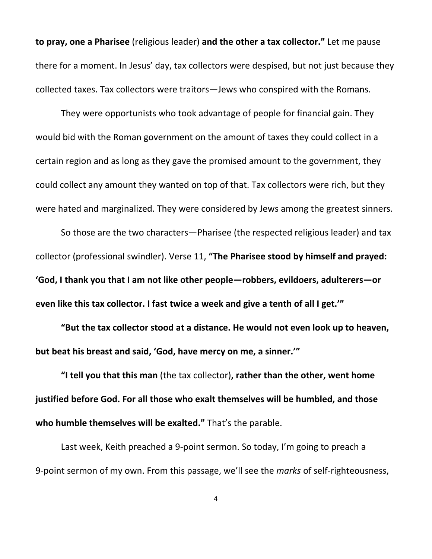**to pray, one a Pharisee** (religious leader) **and the other a tax collector."** Let me pause there for a moment. In Jesus' day, tax collectors were despised, but not just because they collected taxes. Tax collectors were traitors—Jews who conspired with the Romans.

They were opportunists who took advantage of people for financial gain. They would bid with the Roman government on the amount of taxes they could collect in a certain region and as long as they gave the promised amount to the government, they could collect any amount they wanted on top of that. Tax collectors were rich, but they were hated and marginalized. They were considered by Jews among the greatest sinners.

So those are the two characters—Pharisee (the respected religious leader) and tax collector (professional swindler). Verse 11, **"The Pharisee stood by himself and prayed: 'God, I thank you that I am not like other people—robbers, evildoers, adulterers—or even like this tax collector. I fast twice a week and give a tenth of all I get.'"**

**"But the tax collector stood at a distance. He would not even look up to heaven, but beat his breast and said, 'God, have mercy on me, a sinner.'"**

**"I tell you that this man** (the tax collector)**, rather than the other, went home justified before God. For all those who exalt themselves will be humbled, and those who** humble themselves will be exalted." That's the parable.

Last week, Keith preached a 9-point sermon. So today, I'm going to preach a 9-point sermon of my own. From this passage, we'll see the *marks* of self-righteousness,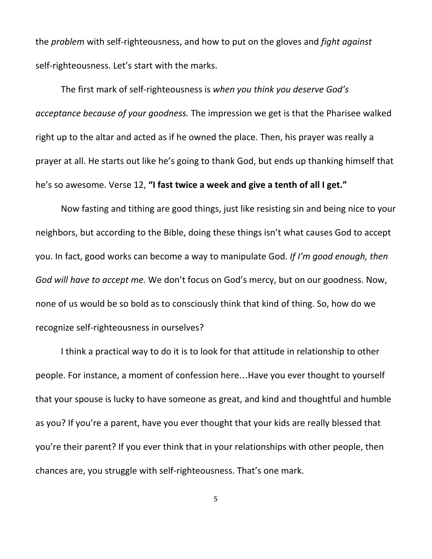the *problem* with self-righteousness, and how to put on the gloves and *fight against* self-righteousness. Let's start with the marks.

The first mark of self-righteousness is *when you think you deserve God's acceptance because of your goodness.* The impression we get is that the Pharisee walked right up to the altar and acted as if he owned the place. Then, his prayer was really a prayer at all. He starts out like he's going to thank God, but ends up thanking himself that he's so awesome. Verse 12, **"I fast twice a week and give a tenth of all I get."**

Now fasting and tithing are good things, just like resisting sin and being nice to your neighbors, but according to the Bible, doing these things isn't what causes God to accept you. In fact, good works can become a way to manipulate God. *If I'm good enough, then God will have to accept me.* We don't focus on God's mercy, but on our goodness. Now, none of us would be so bold as to consciously think that kind of thing. So, how do we recognize self-righteousness in ourselves?

I think a practical way to do it is to look for that attitude in relationship to other people. For instance, a moment of confession here…Have you ever thought to yourself that your spouse is lucky to have someone as great, and kind and thoughtful and humble as you? If you're a parent, have you ever thought that your kids are really blessed that you're their parent? If you ever think that in your relationships with other people, then chances are, you struggle with self-righteousness. That's one mark.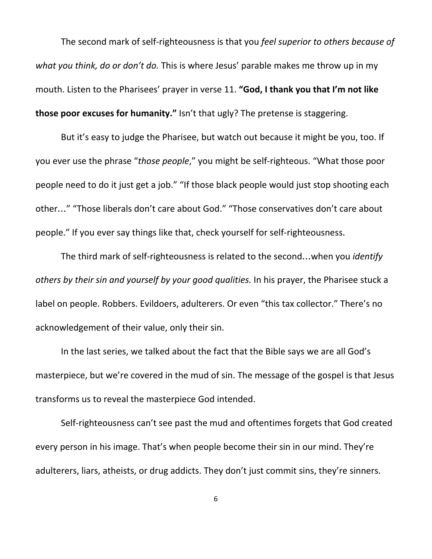The second mark of self-righteousness is that you *feel superior to others because of what you think, do or don't do.* This is where Jesus' parable makes me throw up in my mouth. Listen to the Pharisees' prayer in verse 11. **"God, I thank you that I'm not like those poor excuses for humanity."** Isn't that ugly? The pretense is staggering.

But it's easy to judge the Pharisee, but watch out because it might be you, too. If you ever use the phrase "*those people*," you might be self-righteous. "What those poor people need to do it just get a job." "If those black people would just stop shooting each other…" "Those liberals don't care about God." "Those conservatives don't care about people." If you ever say things like that, check yourself for self-righteousness.

The third mark of self-righteousness is related to the second…when you *identify others by their sin and yourself by your good qualities.* In his prayer, the Pharisee stuck a label on people. Robbers. Evildoers, adulterers. Or even "this tax collector." There's no acknowledgement of their value, only their sin.

In the last series, we talked about the fact that the Bible says we are all God's masterpiece, but we're covered in the mud of sin. The message of the gospel is that Jesus transforms us to reveal the masterpiece God intended.

Self-righteousness can't see past the mud and oftentimes forgets that God created every person in his image. That's when people become their sin in our mind. They're adulterers, liars, atheists, or drug addicts. They don't just commit sins, they're sinners.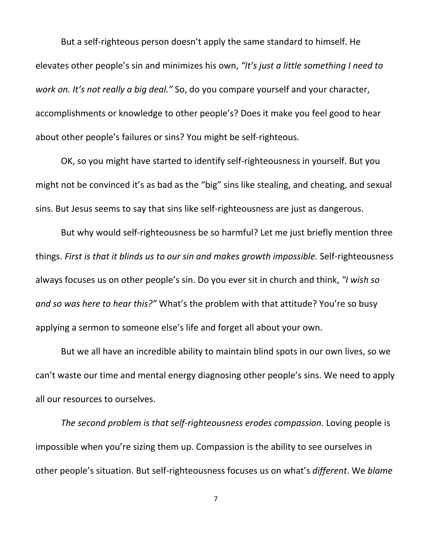But a self-righteous person doesn't apply the same standard to himself. He elevates other people's sin and minimizes his own, *"It's just a little something I need to work on. It's not really a big deal."* So, do you compare yourself and your character, accomplishments or knowledge to other people's? Does it make you feel good to hear about other people's failures or sins? You might be self-righteous.

OK, so you might have started to identify self-righteousness in yourself. But you might not be convinced it's as bad as the "big" sins like stealing, and cheating, and sexual sins. But Jesus seems to say that sins like self-righteousness are just as dangerous.

But why would self-righteousness be so harmful? Let me just briefly mention three things. *First is that it blinds us to our sin and makes growth impossible.* Self-righteousness always focuses us on other people's sin. Do you ever sit in church and think, *"I wish so and so was here to hear this?"* What's the problem with that attitude? You're so busy applying a sermon to someone else's life and forget all about your own.

But we all have an incredible ability to maintain blind spots in our own lives, so we can't waste our time and mental energy diagnosing other people's sins. We need to apply all our resources to ourselves.

*The second problem is that self-righteousness erodes compassion.* Loving people is impossible when you're sizing them up. Compassion is the ability to see ourselves in other people's situation. But self-righteousness focuses us on what's *different*. We *blame*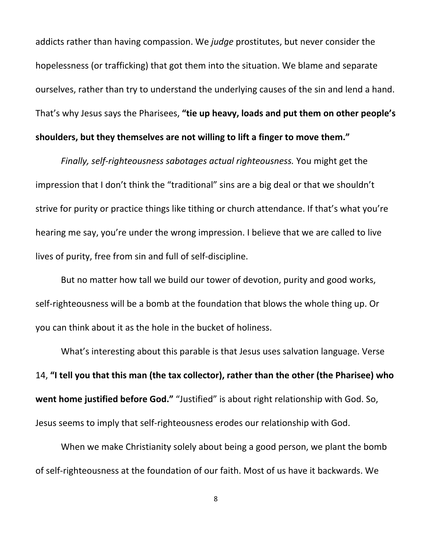addicts rather than having compassion. We *judge* prostitutes, but never consider the hopelessness (or trafficking) that got them into the situation. We blame and separate ourselves, rather than try to understand the underlying causes of the sin and lend a hand. That's why Jesus says the Pharisees, **"tie up heavy, loads and put them on other people's shoulders, but they themselves are not willing to lift a finger to move them."**

*Finally, self-righteousness sabotages actual righteousness.* You might get the impression that I don't think the "traditional" sins are a big deal or that we shouldn't strive for purity or practice things like tithing or church attendance. If that's what you're hearing me say, you're under the wrong impression. I believe that we are called to live lives of purity, free from sin and full of self-discipline.

But no matter how tall we build our tower of devotion, purity and good works, self-righteousness will be a bomb at the foundation that blows the whole thing up. Or you can think about it as the hole in the bucket of holiness.

What's interesting about this parable is that Jesus uses salvation language. Verse 14, **"I tell you that this man (the tax collector), rather than the other (the Pharisee) who went home justified before God."** "Justified" is about right relationship with God. So, Jesus seems to imply that self-righteousness erodes our relationship with God.

When we make Christianity solely about being a good person, we plant the bomb of self-righteousness at the foundation of our faith. Most of us have it backwards. We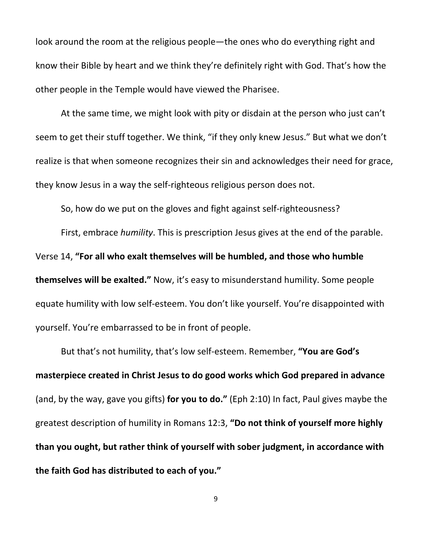look around the room at the religious people—the ones who do everything right and know their Bible by heart and we think they're definitely right with God. That's how the other people in the Temple would have viewed the Pharisee.

At the same time, we might look with pity or disdain at the person who just can't seem to get their stuff together. We think, "if they only knew Jesus." But what we don't realize is that when someone recognizes their sin and acknowledges their need for grace, they know Jesus in a way the self-righteous religious person does not.

So, how do we put on the gloves and fight against self-righteousness?

First, embrace *humility*. This is prescription Jesus gives at the end of the parable. Verse 14, **"For all who exalt themselves will be humbled, and those who humble themselves will be exalted."** Now, it's easy to misunderstand humility. Some people equate humility with low self-esteem. You don't like yourself. You're disappointed with yourself. You're embarrassed to be in front of people.

But that's not humility, that's low self-esteem. Remember, **"You are God's masterpiece created in Christ Jesus to do good works which God prepared in advance** (and, by the way, gave you gifts) **for you to do."** (Eph 2:10) In fact, Paul gives maybe the greatest description of humility in Romans 12:3, **"Do not think of yourself more highly than you ought, but rather think of yourself with sober judgment, in accordance with the faith God has distributed to each of you."**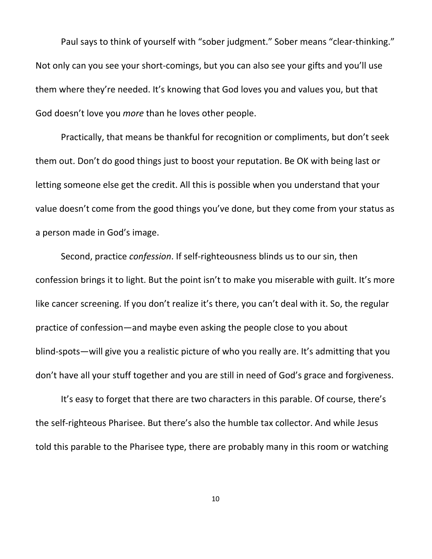Paul says to think of yourself with "sober judgment." Sober means "clear-thinking." Not only can you see your short-comings, but you can also see your gifts and you'll use them where they're needed. It's knowing that God loves you and values you, but that God doesn't love you *more* than he loves other people.

Practically, that means be thankful for recognition or compliments, but don't seek them out. Don't do good things just to boost your reputation. Be OK with being last or letting someone else get the credit. All this is possible when you understand that your value doesn't come from the good things you've done, but they come from your status as a person made in God's image.

Second, practice *confession*. If self-righteousness blinds us to our sin, then confession brings it to light. But the point isn't to make you miserable with guilt. It's more like cancer screening. If you don't realize it's there, you can't deal with it. So, the regular practice of confession—and maybe even asking the people close to you about blind-spots—will give you a realistic picture of who you really are. It's admitting that you don't have all your stuff together and you are still in need of God's grace and forgiveness.

It's easy to forget that there are two characters in this parable. Of course, there's the self-righteous Pharisee. But there's also the humble tax collector. And while Jesus told this parable to the Pharisee type, there are probably many in this room or watching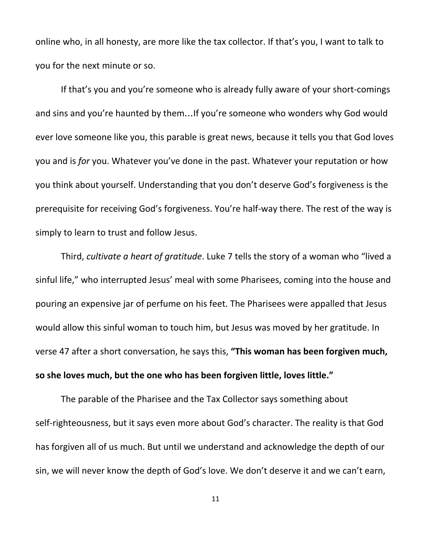online who, in all honesty, are more like the tax collector. If that's you, I want to talk to you for the next minute or so.

If that's you and you're someone who is already fully aware of your short-comings and sins and you're haunted by them…If you're someone who wonders why God would ever love someone like you, this parable is great news, because it tells you that God loves you and is *for* you. Whatever you've done in the past. Whatever your reputation or how you think about yourself. Understanding that you don't deserve God's forgiveness is the prerequisite for receiving God's forgiveness. You're half-way there. The rest of the way is simply to learn to trust and follow Jesus.

Third, *cultivate a heart of gratitude*. Luke 7 tells the story of a woman who "lived a sinful life," who interrupted Jesus' meal with some Pharisees, coming into the house and pouring an expensive jar of perfume on his feet. The Pharisees were appalled that Jesus would allow this sinful woman to touch him, but Jesus was moved by her gratitude. In verse 47 after a short conversation, he says this, **"This woman has been forgiven much, so she loves much, but the one who has been forgiven little, loves little."**

The parable of the Pharisee and the Tax Collector says something about self-righteousness, but it says even more about God's character. The reality is that God has forgiven all of us much. But until we understand and acknowledge the depth of our sin, we will never know the depth of God's love. We don't deserve it and we can't earn,